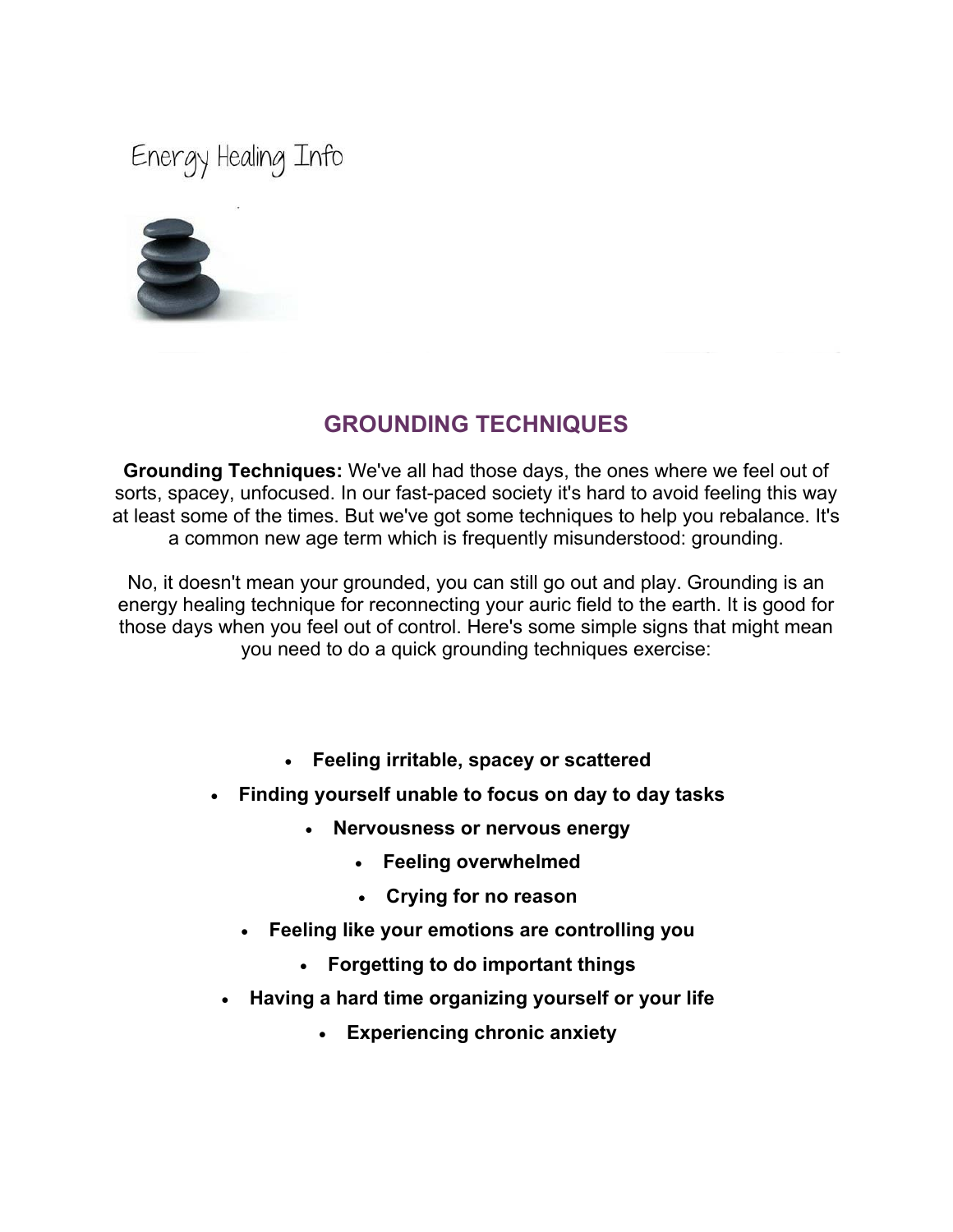Energy Healing Info



# **GROUNDING TECHNIQUES**

**Grounding Techniques:** We've all had those days, the ones where we feel out of sorts, spacey, unfocused. In our fast-paced society it's hard to avoid feeling this way at least some of the times. But we've got some techniques to help you rebalance. It's a common new age term which is frequently misunderstood: grounding.

No, it doesn't mean your grounded, you can still go out and play. Grounding is an energy healing technique for reconnecting your auric field to the earth. It is good for those days when you feel out of control. Here's some simple signs that might mean you need to do a quick grounding techniques exercise:

- **Feeling irritable, spacey or scattered**
- **Finding yourself unable to focus on day to day tasks** 
	- **Nervousness or nervous energy** 
		- **Feeling overwhelmed**
		- **Crying for no reason**
	- **Feeling like your emotions are controlling you** 
		- **Forgetting to do important things**
- **Having a hard time organizing yourself or your life** 
	- **Experiencing chronic anxiety**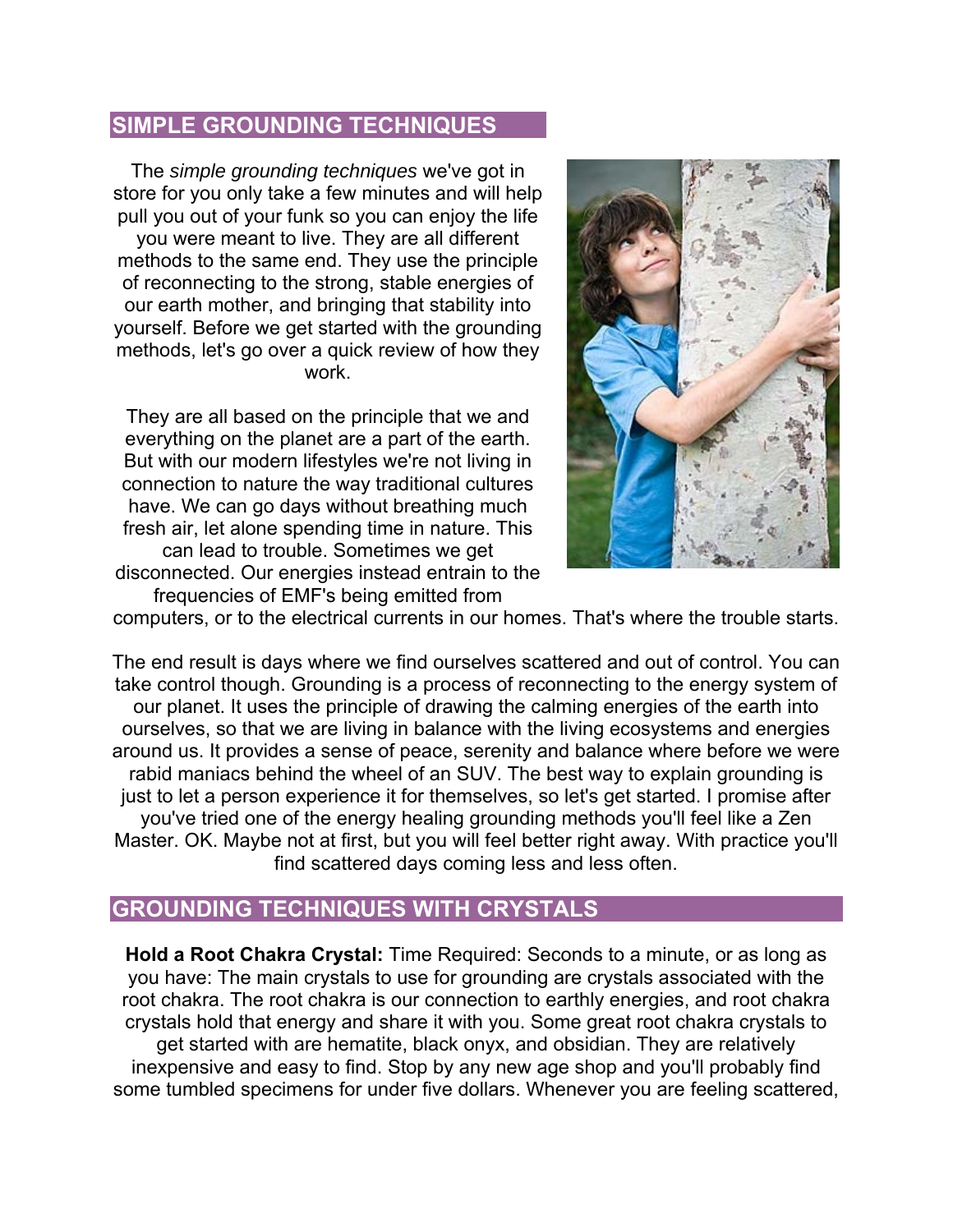### **SIMPLE GROUNDING TECHNIQUES**

The *simple grounding techniques* we've got in store for you only take a few minutes and will help pull you out of your funk so you can enjoy the life you were meant to live. They are all different methods to the same end. They use the principle of reconnecting to the strong, stable energies of our earth mother, and bringing that stability into yourself. Before we get started with the grounding methods, let's go over a quick review of how they work.

They are all based on the principle that we and everything on the planet are a part of the earth. But with our modern lifestyles we're not living in connection to nature the way traditional cultures have. We can go days without breathing much fresh air, let alone spending time in nature. This can lead to trouble. Sometimes we get disconnected. Our energies instead entrain to the frequencies of EMF's being emitted from



computers, or to the electrical currents in our homes. That's where the trouble starts.

The end result is days where we find ourselves scattered and out of control. You can take control though. Grounding is a process of reconnecting to the energy system of our planet. It uses the principle of drawing the calming energies of the earth into ourselves, so that we are living in balance with the living ecosystems and energies around us. It provides a sense of peace, serenity and balance where before we were rabid maniacs behind the wheel of an SUV. The best way to explain grounding is just to let a person experience it for themselves, so let's get started. I promise after you've tried one of the energy healing grounding methods you'll feel like a Zen Master. OK. Maybe not at first, but you will feel better right away. With practice you'll find scattered days coming less and less often.

# **GROUNDING TECHNIQUES WITH CRYSTALS**

**Hold a Root Chakra Crystal:** Time Required: Seconds to a minute, or as long as you have: The main crystals to use for grounding are crystals associated with the root chakra. The root chakra is our connection to earthly energies, and root chakra crystals hold that energy and share it with you. Some great root chakra crystals to get started with are hematite, black onyx, and obsidian. They are relatively inexpensive and easy to find. Stop by any new age shop and you'll probably find some tumbled specimens for under five dollars. Whenever you are feeling scattered,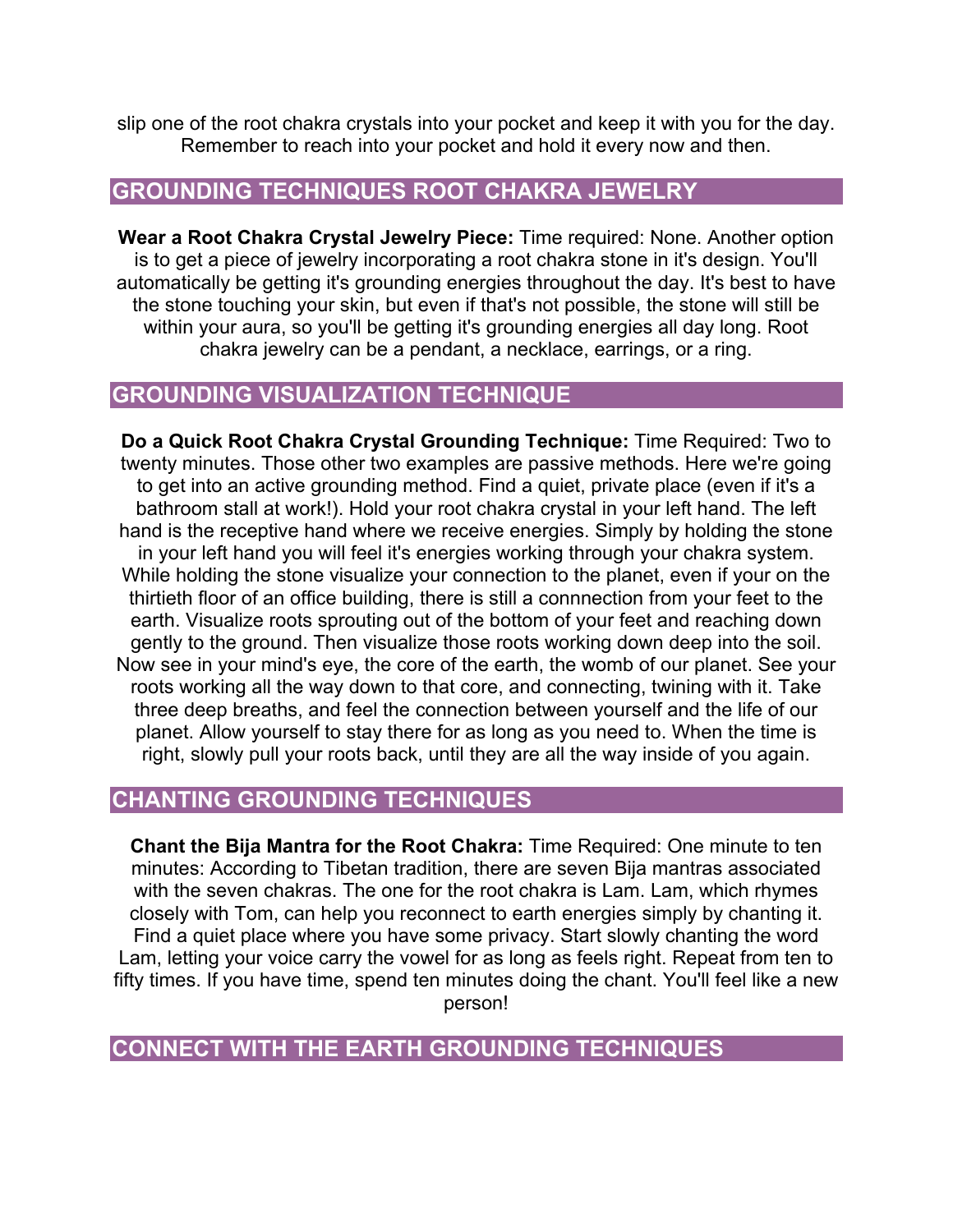slip one of the root chakra crystals into your pocket and keep it with you for the day. Remember to reach into your pocket and hold it every now and then.

### **GROUNDING TECHNIQUES ROOT CHAKRA JEWELRY**

**Wear a Root Chakra Crystal Jewelry Piece:** Time required: None. Another option is to get a piece of jewelry incorporating a root chakra stone in it's design. You'll automatically be getting it's grounding energies throughout the day. It's best to have the stone touching your skin, but even if that's not possible, the stone will still be within your aura, so you'll be getting it's grounding energies all day long. Root chakra jewelry can be a pendant, a necklace, earrings, or a ring.

#### **GROUNDING VISUALIZATION TECHNIQUE**

**Do a Quick Root Chakra Crystal Grounding Technique:** Time Required: Two to twenty minutes. Those other two examples are passive methods. Here we're going to get into an active grounding method. Find a quiet, private place (even if it's a bathroom stall at work!). Hold your root chakra crystal in your left hand. The left hand is the receptive hand where we receive energies. Simply by holding the stone in your left hand you will feel it's energies working through your chakra system. While holding the stone visualize your connection to the planet, even if your on the thirtieth floor of an office building, there is still a connnection from your feet to the earth. Visualize roots sprouting out of the bottom of your feet and reaching down gently to the ground. Then visualize those roots working down deep into the soil. Now see in your mind's eye, the core of the earth, the womb of our planet. See your roots working all the way down to that core, and connecting, twining with it. Take three deep breaths, and feel the connection between yourself and the life of our planet. Allow yourself to stay there for as long as you need to. When the time is right, slowly pull your roots back, until they are all the way inside of you again.

#### **CHANTING GROUNDING TECHNIQUES**

**Chant the Bija Mantra for the Root Chakra:** Time Required: One minute to ten minutes: According to Tibetan tradition, there are seven Bija mantras associated with the seven chakras. The one for the root chakra is Lam. Lam, which rhymes closely with Tom, can help you reconnect to earth energies simply by chanting it. Find a quiet place where you have some privacy. Start slowly chanting the word Lam, letting your voice carry the vowel for as long as feels right. Repeat from ten to fifty times. If you have time, spend ten minutes doing the chant. You'll feel like a new person!

**CONNECT WITH THE EARTH GROUNDING TECHNIQUES**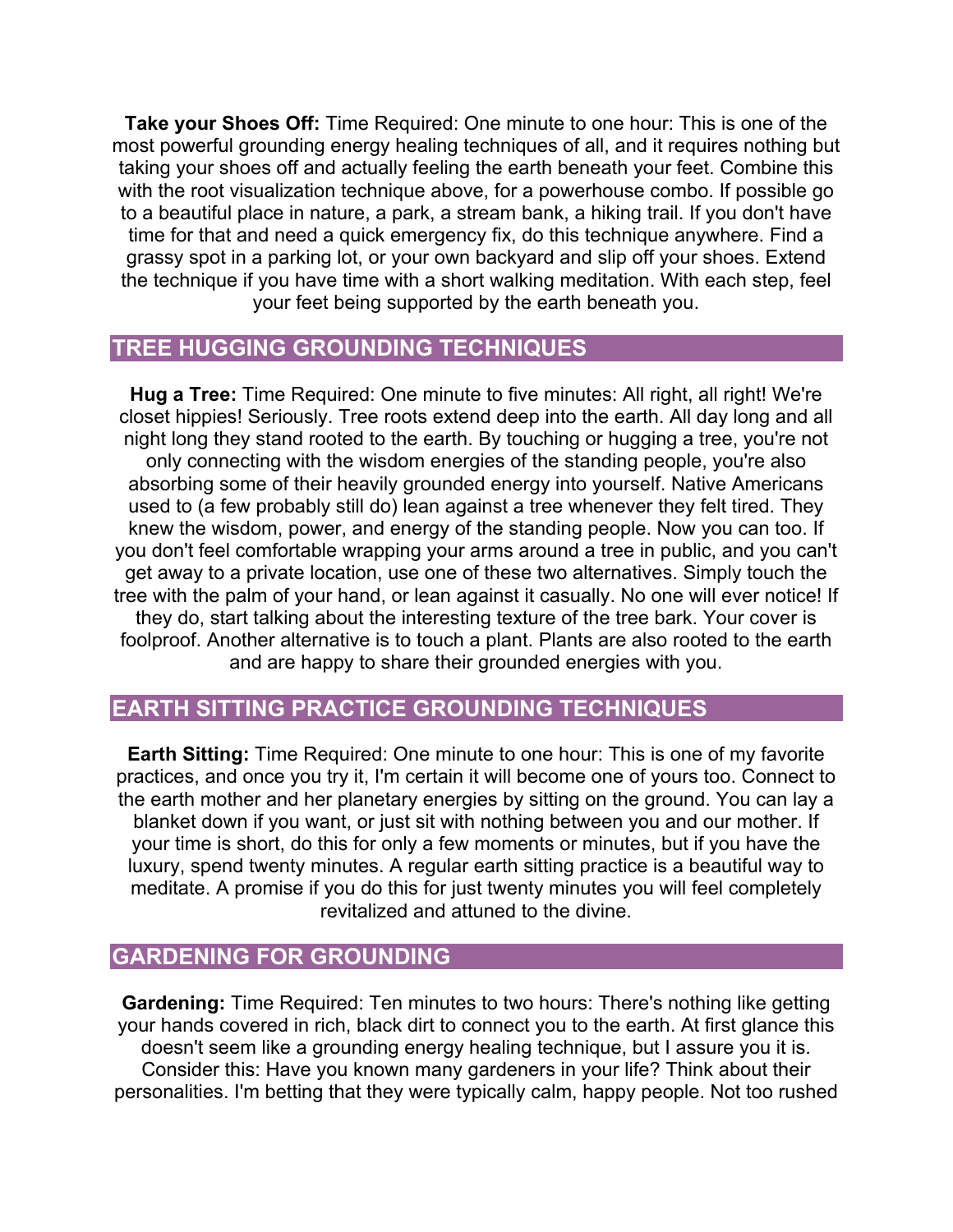**Take your Shoes Off:** Time Required: One minute to one hour: This is one of the most powerful grounding energy healing techniques of all, and it requires nothing but taking your shoes off and actually feeling the earth beneath your feet. Combine this with the root visualization technique above, for a powerhouse combo. If possible go to a beautiful place in nature, a park, a stream bank, a hiking trail. If you don't have time for that and need a quick emergency fix, do this technique anywhere. Find a grassy spot in a parking lot, or your own backyard and slip off your shoes. Extend the technique if you have time with a short walking meditation. With each step, feel your feet being supported by the earth beneath you.

# **TREE HUGGING GROUNDING TECHNIQUES**

**Hug a Tree:** Time Required: One minute to five minutes: All right, all right! We're closet hippies! Seriously. Tree roots extend deep into the earth. All day long and all night long they stand rooted to the earth. By touching or hugging a tree, you're not only connecting with the wisdom energies of the standing people, you're also absorbing some of their heavily grounded energy into yourself. Native Americans used to (a few probably still do) lean against a tree whenever they felt tired. They knew the wisdom, power, and energy of the standing people. Now you can too. If you don't feel comfortable wrapping your arms around a tree in public, and you can't get away to a private location, use one of these two alternatives. Simply touch the tree with the palm of your hand, or lean against it casually. No one will ever notice! If they do, start talking about the interesting texture of the tree bark. Your cover is foolproof. Another alternative is to touch a plant. Plants are also rooted to the earth and are happy to share their grounded energies with you.

# **EARTH SITTING PRACTICE GROUNDING TECHNIQUES**

**Earth Sitting:** Time Required: One minute to one hour: This is one of my favorite practices, and once you try it, I'm certain it will become one of yours too. Connect to the earth mother and her planetary energies by sitting on the ground. You can lay a blanket down if you want, or just sit with nothing between you and our mother. If your time is short, do this for only a few moments or minutes, but if you have the luxury, spend twenty minutes. A regular earth sitting practice is a beautiful way to meditate. A promise if you do this for just twenty minutes you will feel completely revitalized and attuned to the divine.

# **GARDENING FOR GROUNDING**

**Gardening:** Time Required: Ten minutes to two hours: There's nothing like getting your hands covered in rich, black dirt to connect you to the earth. At first glance this doesn't seem like a grounding energy healing technique, but I assure you it is. Consider this: Have you known many gardeners in your life? Think about their personalities. I'm betting that they were typically calm, happy people. Not too rushed